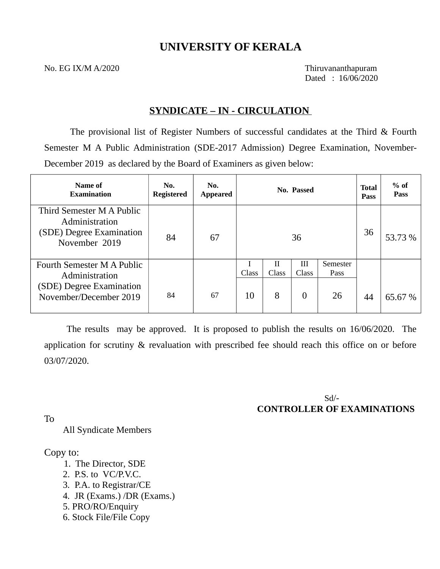# **UNIVERSITY OF KERALA**

No. EG IX/M A/2020 Thiruvananthapuram

Dated : 16/06/2020

# **SYNDICATE – IN - CIRCULATION**

The provisional list of Register Numbers of successful candidates at the Third & Fourth Semester M A Public Administration (SDE-2017 Admission) Degree Examination, November-December 2019 as declared by the Board of Examiners as given below:

| Name of<br><b>Examination</b>                                                            | No.<br><b>Registered</b> | No.<br><b>Appeared</b> |       |            | No. Passed   |                  | <b>Total</b><br><b>Pass</b> | $%$ of<br><b>Pass</b> |
|------------------------------------------------------------------------------------------|--------------------------|------------------------|-------|------------|--------------|------------------|-----------------------------|-----------------------|
| Third Semester M A Public<br>Administration<br>(SDE) Degree Examination<br>November 2019 | 84                       | 67                     |       |            | 36           |                  | 36                          | 53.73 %               |
| <b>Fourth Semester M A Public</b><br>Administration                                      |                          |                        | Class | Н<br>Class | III<br>Class | Semester<br>Pass |                             |                       |
| (SDE) Degree Examination<br>November/December 2019                                       | 84                       | 67                     | 10    | 8          | 0            | 26               | 44                          | 65.67 %               |

 The results may be approved. It is proposed to publish the results on 16/06/2020. The application for scrutiny & revaluation with prescribed fee should reach this office on or before 03/07/2020.

> Sd/- **CONTROLLER OF EXAMINATIONS**

To

All Syndicate Members

Copy to:

- 1. The Director, SDE
- 2. P.S. to VC/P.V.C.
- 3. P.A. to Registrar/CE
- 4. JR (Exams.) /DR (Exams.)
- 5. PRO/RO/Enquiry
- 6. Stock File/File Copy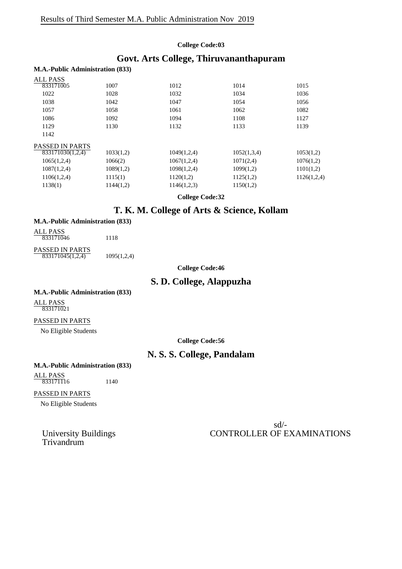## **College Code:03**

# **Govt. Arts College, Thiruvananthapuram**

### **M.A.-Public Administration (833)**

| <b>ALL PASS</b>        |           |             |             |             |
|------------------------|-----------|-------------|-------------|-------------|
| 833171005              | 1007      | 1012        | 1014        | 1015        |
| 1022                   | 1028      | 1032        | 1034        | 1036        |
| 1038                   | 1042      | 1047        | 1054        | 1056        |
| 1057                   | 1058      | 1061        | 1062        | 1082        |
| 1086                   | 1092      | 1094        | 1108        | 1127        |
| 1129                   | 1130      | 1132        | 1133        | 1139        |
| 1142                   |           |             |             |             |
| <b>PASSED IN PARTS</b> |           |             |             |             |
| 833171030(1,2,4)       | 1033(1,2) | 1049(1,2,4) | 1052(1,3,4) | 1053(1,2)   |
| 1065(1,2,4)            | 1066(2)   | 1067(1,2,4) | 1071(2,4)   | 1076(1,2)   |
| 1087(1,2,4)            | 1089(1,2) | 1098(1,2,4) | 1099(1,2)   | 1101(1,2)   |
| 1106(1,2,4)            | 1115(1)   | 1120(1,2)   | 1125(1,2)   | 1126(1,2,4) |
| 1138(1)                | 1144(1,2) | 1146(1,2,3) | 1150(1,2)   |             |
|                        |           |             |             |             |

**College Code:32**

# **T. K. M. College of Arts & Science, Kollam**

## **M.A.-Public Administration (833)**

| ALL PASS<br>833171046                      | 1118        |
|--------------------------------------------|-------------|
| <b>PASSED IN PARTS</b><br>833171045(1,2,4) | 1095(1,2,4) |

**College Code:46**

# **S. D. College, Alappuzha**

## **M.A.-Public Administration (833)**

ALL PASS 833171021

## PASSED IN PARTS

No Eligible Students

**College Code:56**

# **N. S. S. College, Pandalam**

## **M.A.-Public Administration (833)**

ALL PASS 833171116 1140

## PASSED IN PARTS

No Eligible Students

University Buildings<br>Trivandrum

sd/- CONTROLLER OF EXAMINATIONS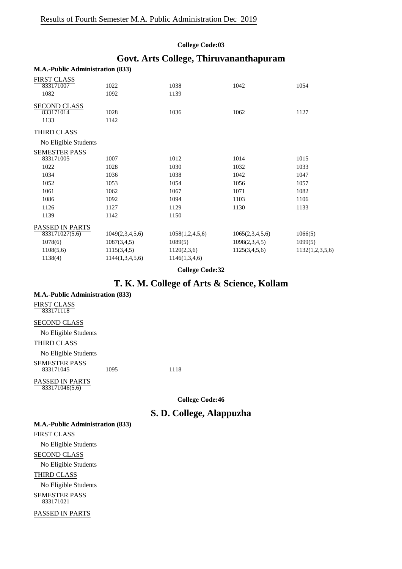#### **College Code:03**

## **Govt. Arts College, Thiruvananthapuram**

| <b>FIRST CLASS</b>     |                 |                 |                 |                 |
|------------------------|-----------------|-----------------|-----------------|-----------------|
| 833171007              | 1022            | 1038            | 1042            | 1054            |
| 1082                   | 1092            | 1139            |                 |                 |
| <b>SECOND CLASS</b>    |                 |                 |                 |                 |
| 833171014              | 1028            | 1036            | 1062            | 1127            |
| 1133                   | 1142            |                 |                 |                 |
| THIRD CLASS            |                 |                 |                 |                 |
| No Eligible Students   |                 |                 |                 |                 |
| <b>SEMESTER PASS</b>   |                 |                 |                 |                 |
| 833171005              | 1007            | 1012            | 1014            | 1015            |
| 1022                   | 1028            | 1030            | 1032            | 1033            |
| 1034                   | 1036            | 1038            | 1042            | 1047            |
| 1052                   | 1053            | 1054            | 1056            | 1057            |
| 1061                   | 1062            | 1067            | 1071            | 1082            |
| 1086                   | 1092            | 1094            | 1103            | 1106            |
| 1126                   | 1127            | 1129            | 1130            | 1133            |
| 1139                   | 1142            | 1150            |                 |                 |
| <b>PASSED IN PARTS</b> |                 |                 |                 |                 |
| 833171027(5,6)         | 1049(2,3,4,5,6) | 1058(1,2,4,5,6) | 1065(2,3,4,5,6) | 1066(5)         |
| 1078(6)                | 1087(3,4,5)     | 1089(5)         | 1098(2,3,4,5)   | 1099(5)         |
| 1108(5,6)              | 1115(3,4,5)     | 1120(2,3,6)     | 1125(3,4,5,6)   | 1132(1,2,3,5,6) |
| 1138(4)                | 1144(1,3,4,5,6) | 1146(1,3,4,6)   |                 |                 |
|                        |                 |                 |                 |                 |

#### **M.A.-Public Administration (833)**

**College Code:32**

## **T. K. M. College of Arts & Science, Kollam**

#### **M.A.-Public Administration (833)**

FIRST CLASS 833171118

#### SECOND CLASS

No Eligible Students THIRD CLASS

No Eligible Students SEMESTER PASS 833171045 1095 1118

PASSED IN PARTS

833171046(5,6)

**College Code:46**

# **S. D. College, Alappuzha**

**M.A.-Public Administration (833)** FIRST CLASS No Eligible Students SECOND CLASS No Eligible Students THIRD CLASS No Eligible Students SEMESTER PASS PASSED IN PARTS 833171021